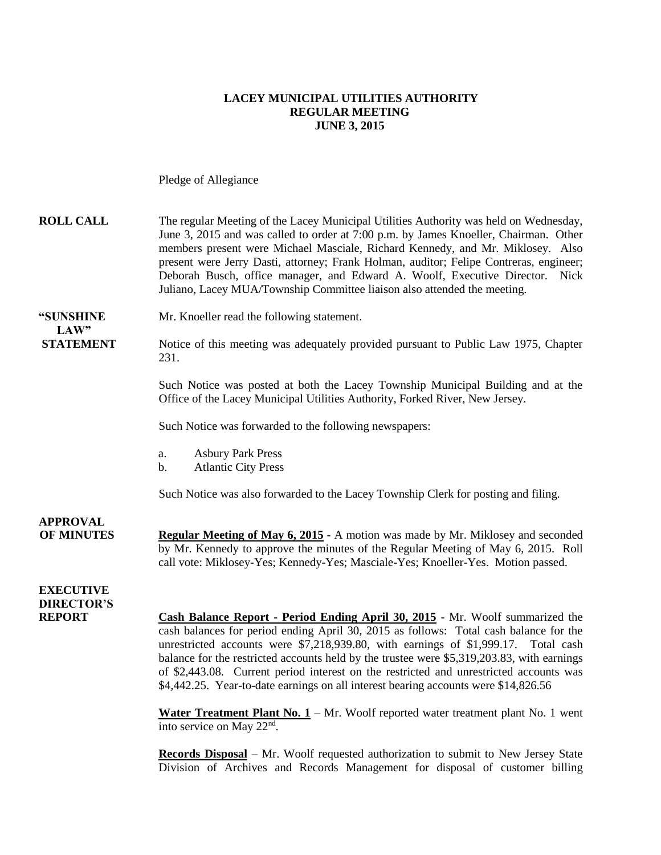#### **LACEY MUNICIPAL UTILITIES AUTHORITY REGULAR MEETING JUNE 3, 2015**

Pledge of Allegiance

| <b>ROLL CALL</b>                                       | The regular Meeting of the Lacey Municipal Utilities Authority was held on Wednesday,<br>June 3, 2015 and was called to order at 7:00 p.m. by James Knoeller, Chairman. Other<br>members present were Michael Masciale, Richard Kennedy, and Mr. Miklosey. Also<br>present were Jerry Dasti, attorney; Frank Holman, auditor; Felipe Contreras, engineer;<br>Deborah Busch, office manager, and Edward A. Woolf, Executive Director. Nick<br>Juliano, Lacey MUA/Township Committee liaison also attended the meeting.                                                                                                                                                                                                                                                                                                                               |
|--------------------------------------------------------|-----------------------------------------------------------------------------------------------------------------------------------------------------------------------------------------------------------------------------------------------------------------------------------------------------------------------------------------------------------------------------------------------------------------------------------------------------------------------------------------------------------------------------------------------------------------------------------------------------------------------------------------------------------------------------------------------------------------------------------------------------------------------------------------------------------------------------------------------------|
| "SUNSHINE<br>LAW"                                      | Mr. Knoeller read the following statement.                                                                                                                                                                                                                                                                                                                                                                                                                                                                                                                                                                                                                                                                                                                                                                                                          |
| <b>STATEMENT</b>                                       | Notice of this meeting was adequately provided pursuant to Public Law 1975, Chapter<br>231.                                                                                                                                                                                                                                                                                                                                                                                                                                                                                                                                                                                                                                                                                                                                                         |
|                                                        | Such Notice was posted at both the Lacey Township Municipal Building and at the<br>Office of the Lacey Municipal Utilities Authority, Forked River, New Jersey.                                                                                                                                                                                                                                                                                                                                                                                                                                                                                                                                                                                                                                                                                     |
|                                                        | Such Notice was forwarded to the following newspapers:                                                                                                                                                                                                                                                                                                                                                                                                                                                                                                                                                                                                                                                                                                                                                                                              |
|                                                        | <b>Asbury Park Press</b><br>a.<br><b>Atlantic City Press</b><br>b.                                                                                                                                                                                                                                                                                                                                                                                                                                                                                                                                                                                                                                                                                                                                                                                  |
|                                                        | Such Notice was also forwarded to the Lacey Township Clerk for posting and filing.                                                                                                                                                                                                                                                                                                                                                                                                                                                                                                                                                                                                                                                                                                                                                                  |
| <b>APPROVAL</b><br><b>OF MINUTES</b>                   | Regular Meeting of May 6, 2015 - A motion was made by Mr. Miklosey and seconded<br>by Mr. Kennedy to approve the minutes of the Regular Meeting of May 6, 2015. Roll<br>call vote: Miklosey-Yes; Kennedy-Yes; Masciale-Yes; Knoeller-Yes. Motion passed.                                                                                                                                                                                                                                                                                                                                                                                                                                                                                                                                                                                            |
| <b>EXECUTIVE</b><br><b>DIRECTOR'S</b><br><b>REPORT</b> | Cash Balance Report - Period Ending April 30, 2015 - Mr. Woolf summarized the<br>cash balances for period ending April 30, 2015 as follows: Total cash balance for the<br>unrestricted accounts were \$7,218,939.80, with earnings of \$1,999.17. Total cash<br>balance for the restricted accounts held by the trustee were \$5,319,203.83, with earnings<br>of \$2,443.08. Current period interest on the restricted and unrestricted accounts was<br>\$4,442.25. Year-to-date earnings on all interest bearing accounts were \$14,826.56<br>Water Treatment Plant No. $1 - Mr$ . Woolf reported water treatment plant No. 1 went<br>into service on May 22 <sup>nd</sup> .<br>Records Disposal - Mr. Woolf requested authorization to submit to New Jersey State<br>Division of Archives and Records Management for disposal of customer billing |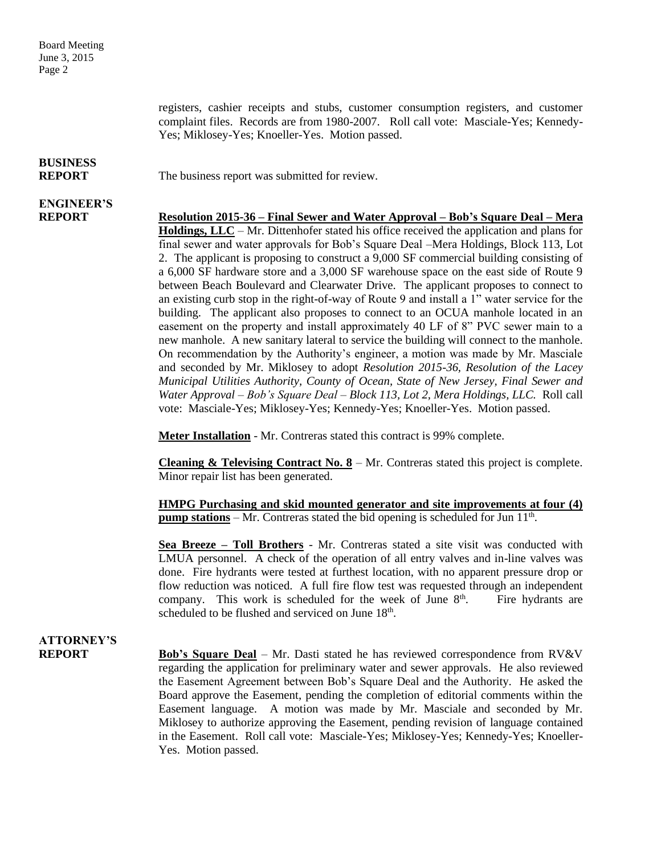registers, cashier receipts and stubs, customer consumption registers, and customer complaint files. Records are from 1980-2007. Roll call vote: Masciale-Yes; Kennedy-Yes; Miklosey-Yes; Knoeller-Yes. Motion passed.

## **BUSINESS**

**REPORT** The business report was submitted for review.

# **ENGINEER'S**

**REPORT Resolution 2015-36 – Final Sewer and Water Approval – Bob's Square Deal – Mera Holdings, LLC** – Mr. Dittenhofer stated his office received the application and plans for final sewer and water approvals for Bob's Square Deal –Mera Holdings, Block 113, Lot 2. The applicant is proposing to construct a 9,000 SF commercial building consisting of a 6,000 SF hardware store and a 3,000 SF warehouse space on the east side of Route 9 between Beach Boulevard and Clearwater Drive. The applicant proposes to connect to an existing curb stop in the right-of-way of Route 9 and install a 1" water service for the building. The applicant also proposes to connect to an OCUA manhole located in an easement on the property and install approximately 40 LF of 8" PVC sewer main to a new manhole. A new sanitary lateral to service the building will connect to the manhole. On recommendation by the Authority's engineer, a motion was made by Mr. Masciale and seconded by Mr. Miklosey to adopt *Resolution 2015-36, Resolution of the Lacey Municipal Utilities Authority, County of Ocean, State of New Jersey, Final Sewer and Water Approval – Bob's Square Deal – Block 113, Lot 2, Mera Holdings, LLC.* Roll call vote: Masciale-Yes; Miklosey-Yes; Kennedy-Yes; Knoeller-Yes. Motion passed.

**Meter Installation** - Mr. Contreras stated this contract is 99% complete.

**Cleaning & Televising Contract No. 8** – Mr. Contreras stated this project is complete. Minor repair list has been generated.

**HMPG Purchasing and skid mounted generator and site improvements at four (4) pump stations** – Mr. Contreras stated the bid opening is scheduled for Jun 11<sup>th</sup>.

**Sea Breeze – Toll Brothers** - Mr. Contreras stated a site visit was conducted with LMUA personnel. A check of the operation of all entry valves and in-line valves was done. Fire hydrants were tested at furthest location, with no apparent pressure drop or flow reduction was noticed. A full fire flow test was requested through an independent company. This work is scheduled for the week of June  $8<sup>th</sup>$ . . Fire hydrants are scheduled to be flushed and serviced on June 18<sup>th</sup>.

### **ATTORNEY'S**

**REPORT Bob's Square Deal** – Mr. Dasti stated he has reviewed correspondence from RV&V regarding the application for preliminary water and sewer approvals. He also reviewed the Easement Agreement between Bob's Square Deal and the Authority. He asked the Board approve the Easement, pending the completion of editorial comments within the Easement language. A motion was made by Mr. Masciale and seconded by Mr. Miklosey to authorize approving the Easement, pending revision of language contained in the Easement. Roll call vote: Masciale-Yes; Miklosey-Yes; Kennedy-Yes; Knoeller-Yes. Motion passed.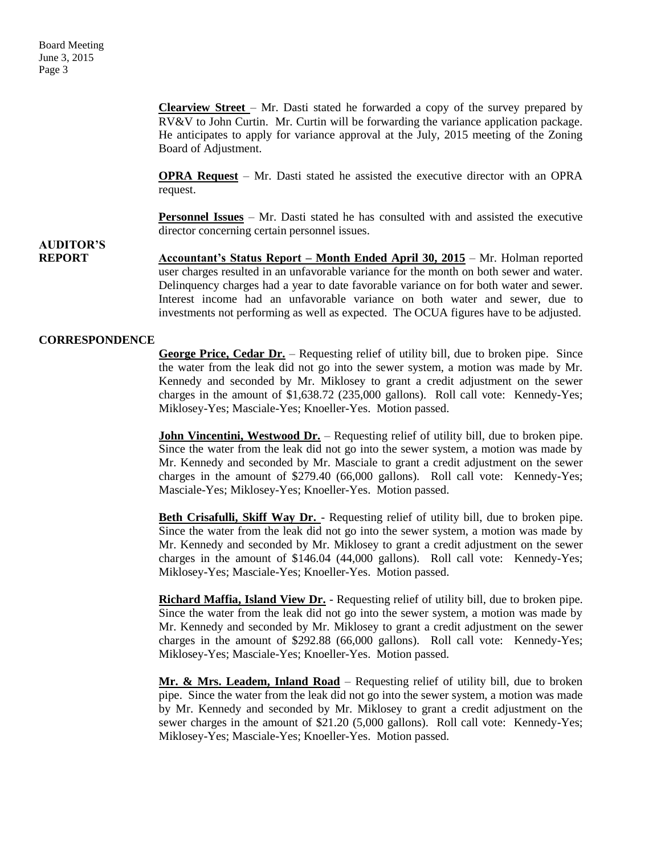**Clearview Street** – Mr. Dasti stated he forwarded a copy of the survey prepared by RV&V to John Curtin. Mr. Curtin will be forwarding the variance application package. He anticipates to apply for variance approval at the July, 2015 meeting of the Zoning Board of Adjustment.

**OPRA Request** – Mr. Dasti stated he assisted the executive director with an OPRA request.

**Personnel Issues** – Mr. Dasti stated he has consulted with and assisted the executive director concerning certain personnel issues.

### **AUDITOR'S**

**REPORT Accountant's Status Report – Month Ended April 30, 2015** – Mr. Holman reported user charges resulted in an unfavorable variance for the month on both sewer and water. Delinquency charges had a year to date favorable variance on for both water and sewer. Interest income had an unfavorable variance on both water and sewer, due to investments not performing as well as expected. The OCUA figures have to be adjusted.

#### **CORRESPONDENCE**

**George Price, Cedar Dr.** – Requesting relief of utility bill, due to broken pipe. Since the water from the leak did not go into the sewer system, a motion was made by Mr. Kennedy and seconded by Mr. Miklosey to grant a credit adjustment on the sewer charges in the amount of \$1,638.72 (235,000 gallons). Roll call vote: Kennedy-Yes; Miklosey-Yes; Masciale-Yes; Knoeller-Yes. Motion passed.

**John Vincentini, Westwood Dr.** – Requesting relief of utility bill, due to broken pipe. Since the water from the leak did not go into the sewer system, a motion was made by Mr. Kennedy and seconded by Mr. Masciale to grant a credit adjustment on the sewer charges in the amount of \$279.40 (66,000 gallons). Roll call vote: Kennedy-Yes; Masciale-Yes; Miklosey-Yes; Knoeller-Yes. Motion passed.

**Beth Crisafulli, Skiff Way Dr.** - Requesting relief of utility bill, due to broken pipe. Since the water from the leak did not go into the sewer system, a motion was made by Mr. Kennedy and seconded by Mr. Miklosey to grant a credit adjustment on the sewer charges in the amount of \$146.04 (44,000 gallons). Roll call vote: Kennedy-Yes; Miklosey-Yes; Masciale-Yes; Knoeller-Yes. Motion passed.

**Richard Maffia, Island View Dr.** - Requesting relief of utility bill, due to broken pipe. Since the water from the leak did not go into the sewer system, a motion was made by Mr. Kennedy and seconded by Mr. Miklosey to grant a credit adjustment on the sewer charges in the amount of \$292.88 (66,000 gallons). Roll call vote: Kennedy-Yes; Miklosey-Yes; Masciale-Yes; Knoeller-Yes. Motion passed.

**Mr. & Mrs. Leadem, Inland Road** – Requesting relief of utility bill, due to broken pipe. Since the water from the leak did not go into the sewer system, a motion was made by Mr. Kennedy and seconded by Mr. Miklosey to grant a credit adjustment on the sewer charges in the amount of \$21.20 (5,000 gallons). Roll call vote: Kennedy-Yes; Miklosey-Yes; Masciale-Yes; Knoeller-Yes. Motion passed.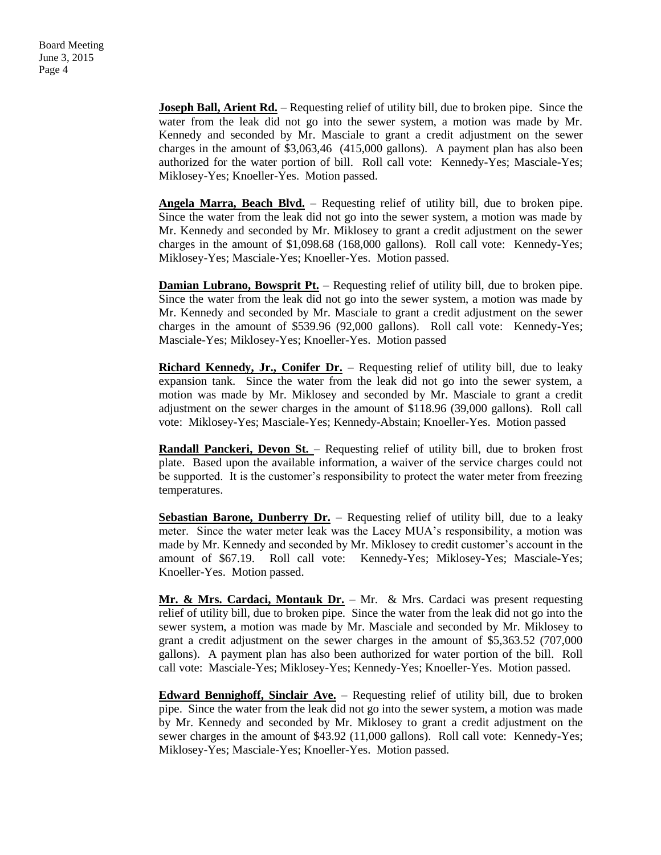**Joseph Ball, Arient Rd.** – Requesting relief of utility bill, due to broken pipe. Since the water from the leak did not go into the sewer system, a motion was made by Mr. Kennedy and seconded by Mr. Masciale to grant a credit adjustment on the sewer charges in the amount of \$3,063,46 (415,000 gallons). A payment plan has also been authorized for the water portion of bill. Roll call vote: Kennedy-Yes; Masciale-Yes; Miklosey-Yes; Knoeller-Yes. Motion passed.

**Angela Marra, Beach Blvd.** – Requesting relief of utility bill, due to broken pipe. Since the water from the leak did not go into the sewer system, a motion was made by Mr. Kennedy and seconded by Mr. Miklosey to grant a credit adjustment on the sewer charges in the amount of \$1,098.68 (168,000 gallons). Roll call vote: Kennedy-Yes; Miklosey-Yes; Masciale-Yes; Knoeller-Yes. Motion passed.

**Damian Lubrano, Bowsprit Pt.** – Requesting relief of utility bill, due to broken pipe. Since the water from the leak did not go into the sewer system, a motion was made by Mr. Kennedy and seconded by Mr. Masciale to grant a credit adjustment on the sewer charges in the amount of \$539.96 (92,000 gallons). Roll call vote: Kennedy-Yes; Masciale-Yes; Miklosey-Yes; Knoeller-Yes. Motion passed

**Richard Kennedy, Jr., Conifer Dr.** – Requesting relief of utility bill, due to leaky expansion tank. Since the water from the leak did not go into the sewer system, a motion was made by Mr. Miklosey and seconded by Mr. Masciale to grant a credit adjustment on the sewer charges in the amount of \$118.96 (39,000 gallons). Roll call vote: Miklosey-Yes; Masciale-Yes; Kennedy-Abstain; Knoeller-Yes. Motion passed

**Randall Panckeri, Devon St.** – Requesting relief of utility bill, due to broken frost plate. Based upon the available information, a waiver of the service charges could not be supported. It is the customer's responsibility to protect the water meter from freezing temperatures.

**Sebastian Barone, Dunberry Dr.** – Requesting relief of utility bill, due to a leaky meter. Since the water meter leak was the Lacey MUA's responsibility, a motion was made by Mr. Kennedy and seconded by Mr. Miklosey to credit customer's account in the amount of \$67.19. Roll call vote: Kennedy-Yes; Miklosey-Yes; Masciale-Yes; Knoeller-Yes. Motion passed.

**Mr. & Mrs. Cardaci, Montauk Dr.** – Mr. & Mrs. Cardaci was present requesting relief of utility bill, due to broken pipe. Since the water from the leak did not go into the sewer system, a motion was made by Mr. Masciale and seconded by Mr. Miklosey to grant a credit adjustment on the sewer charges in the amount of \$5,363.52 (707,000 gallons). A payment plan has also been authorized for water portion of the bill. Roll call vote: Masciale-Yes; Miklosey-Yes; Kennedy-Yes; Knoeller-Yes. Motion passed.

**Edward Bennighoff, Sinclair Ave.** – Requesting relief of utility bill, due to broken pipe. Since the water from the leak did not go into the sewer system, a motion was made by Mr. Kennedy and seconded by Mr. Miklosey to grant a credit adjustment on the sewer charges in the amount of \$43.92 (11,000 gallons). Roll call vote: Kennedy-Yes; Miklosey-Yes; Masciale-Yes; Knoeller-Yes. Motion passed.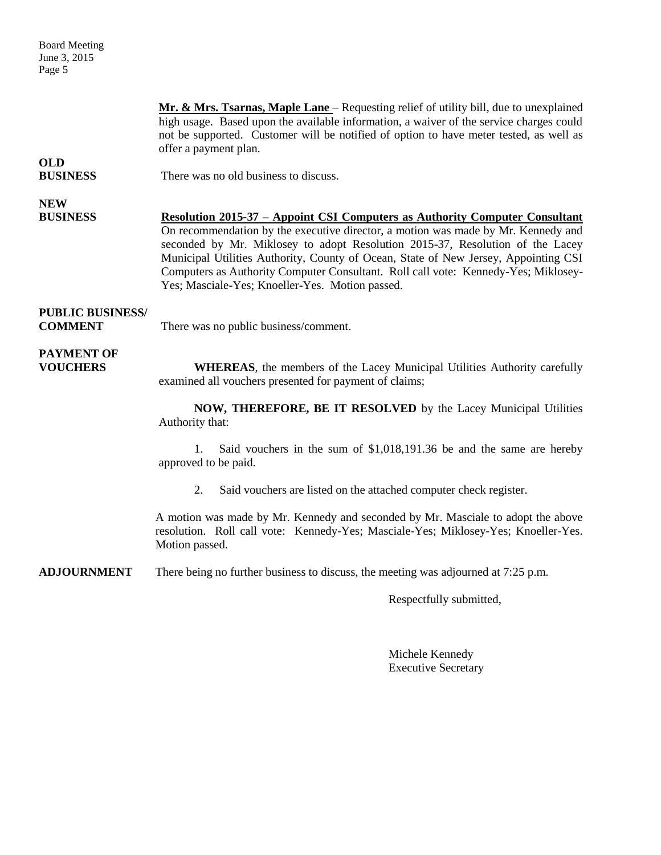Board Meeting June 3, 2015 Page 5

**Mr. & Mrs. Tsarnas, Maple Lane** – Requesting relief of utility bill, due to unexplained high usage. Based upon the available information, a waiver of the service charges could not be supported. Customer will be notified of option to have meter tested, as well as offer a payment plan. **OLD BUSINESS** There was no old business to discuss. **NEW BUSINESS Resolution 2015-37 – Appoint CSI Computers as Authority Computer Consultant** On recommendation by the executive director, a motion was made by Mr. Kennedy and seconded by Mr. Miklosey to adopt Resolution 2015-37, Resolution of the Lacey Municipal Utilities Authority, County of Ocean, State of New Jersey, Appointing CSI Computers as Authority Computer Consultant. Roll call vote: Kennedy-Yes; Miklosey-Yes; Masciale-Yes; Knoeller-Yes. Motion passed. **PUBLIC BUSINESS/ COMMENT** There was no public business/comment. **PAYMENT OF VOUCHERS WHEREAS**, the members of the Lacey Municipal Utilities Authority carefully examined all vouchers presented for payment of claims; **NOW, THEREFORE, BE IT RESOLVED** by the Lacey Municipal Utilities Authority that: 1. Said vouchers in the sum of \$1,018,191.36 be and the same are hereby approved to be paid. 2. Said vouchers are listed on the attached computer check register.

> A motion was made by Mr. Kennedy and seconded by Mr. Masciale to adopt the above resolution. Roll call vote: Kennedy-Yes; Masciale-Yes; Miklosey-Yes; Knoeller-Yes. Motion passed.

**ADJOURNMENT** There being no further business to discuss, the meeting was adjourned at 7:25 p.m.

Respectfully submitted,

Michele Kennedy Executive Secretary